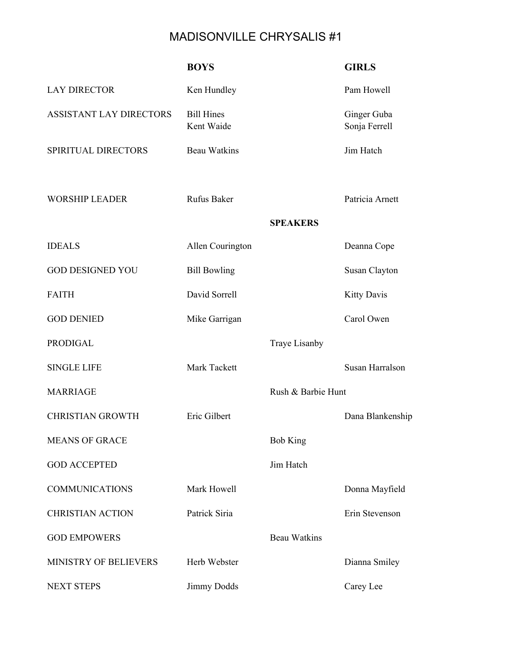## MADISONVILLE CHRYSALIS #1

|                                | <b>BOYS</b>                     |                     | <b>GIRLS</b>                 |
|--------------------------------|---------------------------------|---------------------|------------------------------|
| <b>LAY DIRECTOR</b>            | Ken Hundley                     |                     | Pam Howell                   |
| <b>ASSISTANT LAY DIRECTORS</b> | <b>Bill Hines</b><br>Kent Waide |                     | Ginger Guba<br>Sonja Ferrell |
| SPIRITUAL DIRECTORS            | <b>Beau Watkins</b>             |                     | Jim Hatch                    |
| <b>WORSHIP LEADER</b>          | <b>Rufus Baker</b>              |                     | Patricia Arnett              |
|                                |                                 | <b>SPEAKERS</b>     |                              |
| <b>IDEALS</b>                  | Allen Courington                |                     | Deanna Cope                  |
| <b>GOD DESIGNED YOU</b>        | <b>Bill Bowling</b>             |                     | Susan Clayton                |
| <b>FAITH</b>                   | David Sorrell                   |                     | <b>Kitty Davis</b>           |
| <b>GOD DENIED</b>              | Mike Garrigan                   |                     | Carol Owen                   |
| <b>PRODIGAL</b>                |                                 | Traye Lisanby       |                              |
| <b>SINGLE LIFE</b>             | Mark Tackett                    |                     | Susan Harralson              |
| <b>MARRIAGE</b>                |                                 | Rush & Barbie Hunt  |                              |
| <b>CHRISTIAN GROWTH</b>        | Eric Gilbert                    |                     | Dana Blankenship             |
| <b>MEANS OF GRACE</b>          |                                 | <b>Bob King</b>     |                              |
| <b>GOD ACCEPTED</b>            |                                 | Jim Hatch           |                              |
| <b>COMMUNICATIONS</b>          | Mark Howell                     |                     | Donna Mayfield               |
| <b>CHRISTIAN ACTION</b>        | Patrick Siria                   |                     | Erin Stevenson               |
| <b>GOD EMPOWERS</b>            |                                 | <b>Beau Watkins</b> |                              |
| MINISTRY OF BELIEVERS          | Herb Webster                    |                     | Dianna Smiley                |
| <b>NEXT STEPS</b>              | Jimmy Dodds                     |                     | Carey Lee                    |